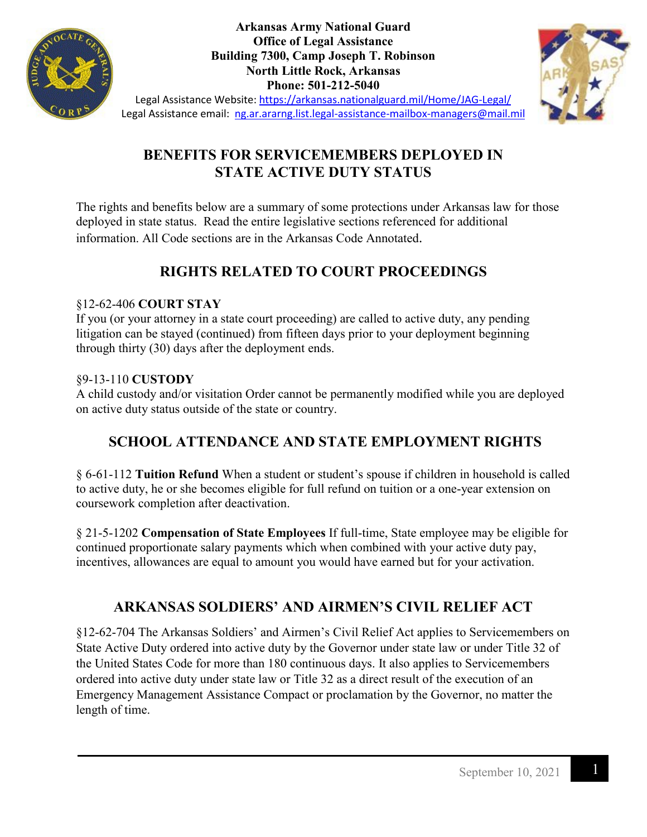

**Arkansas Army National Guard Office of Legal Assistance Building 7300, Camp Joseph T. Robinson North Little Rock, Arkansas Phone: 501-212-5040**



Legal Assistance Website:<https://arkansas.nationalguard.mil/Home/JAG-Legal/> Legal Assistance email: [ng.ar.ararng.list.legal-assistance-mailbox-managers@mail.mil](mailto:ng.ar.ararng.list.legal-assistance-mailbox-managers@mail.mil)

## **BENEFITS FOR SERVICEMEMBERS DEPLOYED IN STATE ACTIVE DUTY STATUS**

The rights and benefits below are a summary of some protections under Arkansas law for those deployed in state status. Read the entire legislative sections referenced for additional information. All Code sections are in the Arkansas Code Annotated.

# **RIGHTS RELATED TO COURT PROCEEDINGS**

## §12-62-406 **COURT STAY**

If you (or your attorney in a state court proceeding) are called to active duty, any pending litigation can be stayed (continued) from fifteen days prior to your deployment beginning through thirty (30) days after the deployment ends.

## §9-13-110 **CUSTODY**

A child custody and/or visitation Order cannot be permanently modified while you are deployed on active duty status outside of the state or country.

# **SCHOOL ATTENDANCE AND STATE EMPLOYMENT RIGHTS**

§ 6-61-112 **Tuition Refund** When a student or student's spouse if children in household is called to active duty, he or she becomes eligible for full refund on tuition or a one-year extension on coursework completion after deactivation.

§ 21-5-1202 **Compensation of State Employees** If full-time, State employee may be eligible for continued proportionate salary payments which when combined with your active duty pay, incentives, allowances are equal to amount you would have earned but for your activation.

## **ARKANSAS SOLDIERS' AND AIRMEN'S CIVIL RELIEF ACT**

§12-62-704 The Arkansas Soldiers' and Airmen's Civil Relief Act applies to Servicemembers on State Active Duty ordered into active duty by the Governor under state law or under Title 32 of the United States Code for more than 180 continuous days. It also applies to Servicemembers ordered into active duty under state law or Title 32 as a direct result of the execution of an Emergency Management Assistance Compact or proclamation by the Governor, no matter the length of time.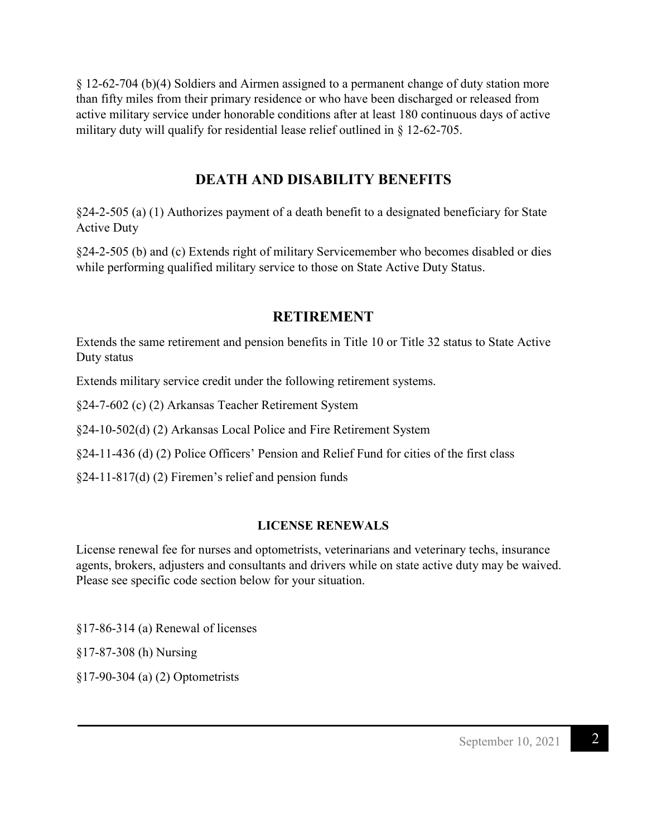§ 12-62-704 (b)(4) Soldiers and Airmen assigned to a permanent change of duty station more than fifty miles from their primary residence or who have been discharged or released from active military service under honorable conditions after at least 180 continuous days of active military duty will qualify for residential lease relief outlined in § 12-62-705.

### **DEATH AND DISABILITY BENEFITS**

§24-2-505 (a) (1) Authorizes payment of a death benefit to a designated beneficiary for State Active Duty

§24-2-505 (b) and (c) Extends right of military Servicemember who becomes disabled or dies while performing qualified military service to those on State Active Duty Status.

## **RETIREMENT**

Extends the same retirement and pension benefits in Title 10 or Title 32 status to State Active Duty status

Extends military service credit under the following retirement systems.

§24-7-602 (c) (2) Arkansas Teacher Retirement System

§24-10-502(d) (2) Arkansas Local Police and Fire Retirement System

§24-11-436 (d) (2) Police Officers' Pension and Relief Fund for cities of the first class

§24-11-817(d) (2) Firemen's relief and pension funds

#### **LICENSE RENEWALS**

License renewal fee for nurses and optometrists, veterinarians and veterinary techs, insurance agents, brokers, adjusters and consultants and drivers while on state active duty may be waived. Please see specific code section below for your situation.

§17-86-314 (a) Renewal of licenses

§17-87-308 (h) Nursing

§17-90-304 (a) (2) Optometrists